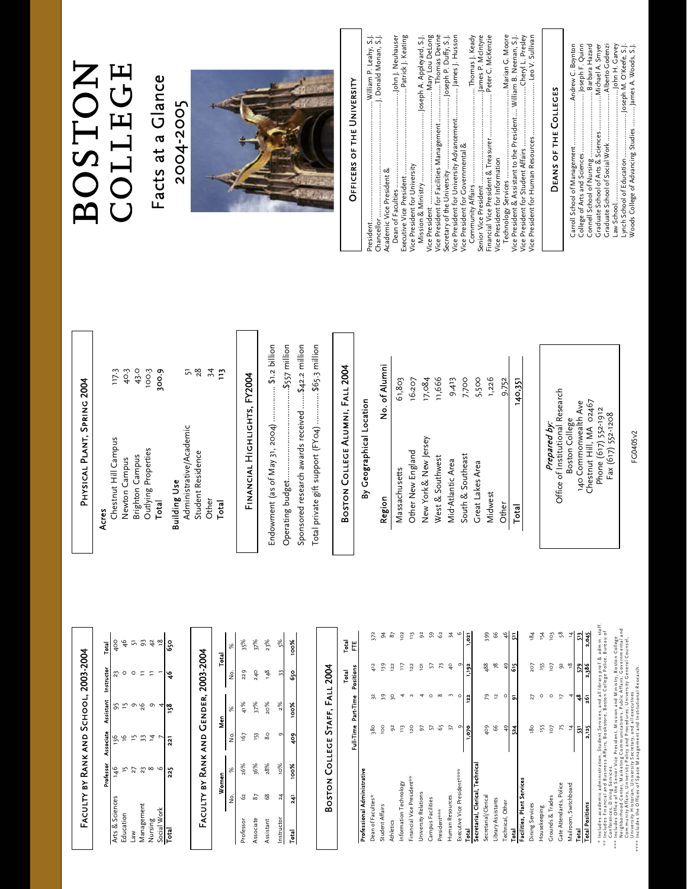| i<br>I |
|--------|
|        |
|        |
|        |
| í      |
|        |
|        |
|        |
|        |
|        |
|        |
| ١      |
| ı      |
| ۱      |
|        |
|        |
|        |
|        |
|        |
| í      |
|        |

|                 |     | Professor Associate Assistant Instructor |    |             | Total                 |
|-----------------|-----|------------------------------------------|----|-------------|-----------------------|
| Arts & Sciences |     | 136                                      |    | $\tilde{2}$ | $\frac{8}{3}$         |
| iducation       |     |                                          |    |             | $\frac{4}{6}$         |
| M€              | 2   |                                          |    |             |                       |
| Management      | ដ   | 33                                       | 92 |             | 93                    |
| Nursing         |     |                                          |    |             |                       |
| Social Work     |     |                                          |    |             | $rac{1}{4}$ $\approx$ |
| ē               | 22, | $\overline{2}$                           |    |             | s.                    |
|                 |     |                                          |    |             |                       |

|           |     |             |    | FACULTY BY RANK AND GENDER, 2003-2004 |     |             |
|-----------|-----|-------------|----|---------------------------------------|-----|-------------|
|           |     | Women       |    | ទី<br>និ                              |     | Total       |
|           | ż   | ×           |    | ×                                     | ş   |             |
| Professor | S2  | 26%         | 67 | $\frac{8}{2}$                         | 229 | 35%         |
| Associate | 57  | 36%         | ŗ3 | 37%                                   | 240 | 37%         |
| Assistant | 8   | 28%         | 80 | 20%                                   | ٩8  | 23%         |
| nstructor | 24  | 10%         |    | 2%                                    |     |             |
| Total     | ត្ត | <b>Xool</b> | ş  | <b>Xool</b>                           | SS  | <b>Xool</b> |

| ١                      |
|------------------------|
|                        |
| <b>Service Service</b> |
| Ξ<br>֠                 |
|                        |
| í                      |
| ľ                      |
|                        |
|                        |
|                        |

|                                  |                 |                     | ē              | Total          |
|----------------------------------|-----------------|---------------------|----------------|----------------|
|                                  |                 | Full-Time Part-Time | Positions      | Ë              |
| Professional Administrative      |                 |                     |                |                |
| Dean of Faculties*               | 380             | 32                  | 412            | 372            |
| Student Affairs                  | <b>DOL</b>      | 39                  | 139            | ¥,             |
| Athletics                        | $\mathfrak{S}$  | 50                  | 122            | 87             |
| Information Technology           | m               |                     | F              | 102            |
| Financial Vice President**       | 120             |                     | 122            | 113            |
| University Relations             | 5               |                     | $\overline{Q}$ | $\tilde{9}$    |
| Campus Facilities                | 5               |                     | 57             | 59             |
| Presidentwith                    | 65              | $\infty$            | 73             | 62             |
| Human Resources                  | 57              |                     | $\frac{6}{4}$  | 24             |
| Executive Vice President*****    | σ               | c                   | G              | $\circ$        |
| Total                            | 1.070           | 122                 | 1,192          | 1,021          |
| Secretarial, Clerical, Technical |                 |                     |                |                |
| Secretarial/Clerical             | 409             | 29                  | 488            | 399            |
| Library Assistants               | 8               | $\overline{a}$      | $78$           | 99             |
| Technical, Other                 | 49              | ٥                   | 49             | $\frac{1}{2}$  |
| Total                            | গ্ন             | ā,                  | 5              | 듸              |
| Facilities, Plant Services       |                 |                     |                |                |
| Dining Services                  | 80              | 27                  | 207            | 184            |
| Housekeeping                     | i <sub>55</sub> | ٥                   | ΙŞΙ            | ı54            |
| <b>Crounds &amp; Trades</b>      | 7or             | ٥                   | Lol            | <sub>103</sub> |
| Gate Attendants, Police          | 75              |                     | $\frac{2}{3}$  | 58             |
| Mailroom, Switchboard            | 4               |                     | $\frac{8}{1}$  | 4              |

 \* Includes academ ic adm inistration, Student Services, and all library prof. & adm in. staff. 48 579 513<br>261 2,386 2,045 \*\* Includes Financial and Business Affairs, Bookstore, Boston College Police, Bureau of 2,125 **Total Positions** 

Total 531 48 579 513 Total Positions 2,125 261 2,386 2,045

Total

 $\frac{53}{2}$ 

\* Includes academic administration, Student Services, and all library prof. & admin. staff.<br>\*\* Conferences, Dining Services.<br>\*\*\* Includes Office of the Senior Vice President, Mission and Ministry, Boston College<br>\*\*\* Includ Neighborhood Center, M arketing Com m unications, Public Affairs, Governm ental and \*\*\* Includes Office of the Senior Vice President, M ission and M inistry, Boston College Conferences, D ining Services.

Com m unity Affairs, University Policy and Procedures, University General Counsel, University H istorian, University Secretary, and all executives.

# \*\*\*\* Includes the O ffices of Space M anagem ent and Institutional Research.

## PHYSICAL PLANT, SPRING 2004 Physical Plant, Spring 2004

#### Chestnut Hill Campus Acres

| 300.9 | Total                  |
|-------|------------------------|
| 100.3 | Outlying Properties    |
| 43.0  | <b>Brighton Campus</b> |
| 40.3  | Newton Campus          |
| 117.3 | Chestnut Hill Campus   |

40.3 43.0  $100.3$ 300.9

#### Building Use þ Buildin

|             | ᇊ<br>Administrative/Academic | 28                | 34    | բ<br>። |
|-------------|------------------------------|-------------------|-------|--------|
| iilding Use |                              | Student Residence | Other | Total  |

### FINANCIAL HIGHLIGHTS, FY2004 Financial Highlights, FY2004

| Endowment (as of May 31, 2004)  \$1.2 billion<br>Sponsored research awards received  \$42.2 million |
|-----------------------------------------------------------------------------------------------------|
| Total private gift support (FY04)  \$65.3 million                                                   |

## Boston College Alumni, Fall 2004 BOSTON COLLEGE ALUMNI, FALL 2004

# By Geographical Location President ................................................................William P. Leahy, S.J. By Geographical Location

| Region               | No. of Alumni |
|----------------------|---------------|
| Massachusetts        | 61,803        |
| Other New England    | 16,207        |
| New York& New Jersey | 17,084        |
| West & Southwest     | 11,666        |
| Mid-Atlantic Area    | 9,413         |
| South & Southeast    | 7,700         |
| Great Lakes Area     | 5,500         |
| Midwest              | 1,226         |
| Other                | 9,752         |
| Total                | 140,351       |
|                      |               |
|                      |               |

Prepared by:<br>Office of Institutional Research Office of Institutional Research Chestnut Hill, MA 02467 140 Commonwealth Ave Chestnut Hill, MA 02467 140 Commonwealth Ave Phone (617) 552-1912 Phone (617) 552-1912 Fax (617) 552-1208 Fax (617) 552-1208 Boston College Boston College Prepared by:

FG0405v2 FG0405v2

# COLLEGE **BOSTON**

#### Facts at a Glance Facts at a Glance 2004-2005 2004-2005



### OFFICERS OF THE UNIVERSITY Officers of the University

| Chancellor                                                           |
|----------------------------------------------------------------------|
| Academic Vice President &                                            |
| Dean of Faculties                                                    |
| Executive Vice President                                             |
| Vice President for University                                        |
| Mission & Ministry                                                   |
| Mary Lou DeLong                                                      |
| Thomas Devine<br>Vice President for Facilities Management            |
| Joseph P. Duffy, S.J.                                                |
|                                                                      |
| Vice President for Governmental &                                    |
| Thomas J. Keady<br>Community Affairs                                 |
|                                                                      |
| Peter C. McKenzie                                                    |
| Vice President for Information                                       |
| Technology Services                                                  |
| Vice President & Assistant to the President  William B. Neenan, S.J. |
|                                                                      |
| Vice President for Human Resources  Leo V. Sullivan                  |
|                                                                      |
|                                                                      |

#### DEANS OF THE COLLEGES Deans of the Colleges

| Woods College of Advancing Studies  James A. Woods, S.J. |
|----------------------------------------------------------|
|                                                          |